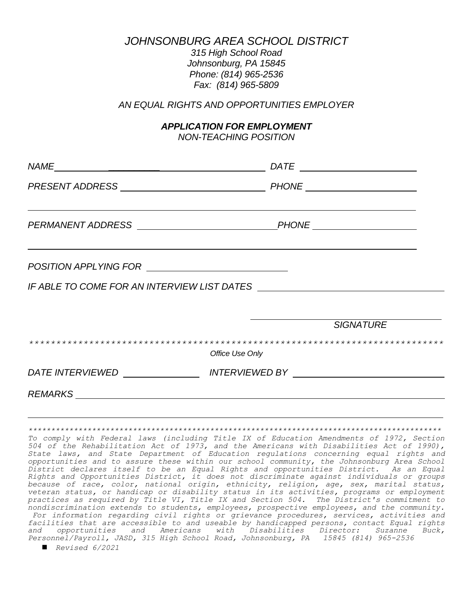*JOHNSONBURG AREA SCHOOL DISTRICT*

*315 High School Road Johnsonburg, PA 15845 Phone: (814) 965-2536 Fax: (814) 965-5809*

*AN EQUAL RIGHTS AND OPPORTUNITIES EMPLOYER*

## *APPLICATION FOR EMPLOYMENT*

*NON-TEACHING POSITION*

| <b>SIGNATURE</b>                                                                 |
|----------------------------------------------------------------------------------|
| Office Use Only                                                                  |
| DATE INTERVIEWED ________________________ INTERVIEWED BY _______________________ |
|                                                                                  |

*\*\*\*\*\*\*\*\*\*\*\*\*\*\*\*\*\*\*\*\*\*\*\*\*\*\*\*\*\*\*\*\*\*\*\*\*\*\*\*\*\*\*\*\*\*\*\*\*\*\*\*\*\*\*\*\*\*\*\*\*\*\*\*\*\*\*\*\*\*\*\*\*\*\*\*\*\*\*\*\*\*\*\*\*\*\*\*\*\*\*\* To comply with Federal laws (including Title IX of Education Amendments of 1972, Section 504 of the Rehabilitation Act of 1973, and the Americans with Disabilities Act of 1990), State laws, and State Department of Education regulations concerning equal rights and opportunities and to assure these within our school community, the Johnsonburg Area School District declares itself to be an Equal Rights and opportunities District. As an Equal Rights and Opportunities District, it does not discriminate against individuals or groups because of race, color, national origin, ethnicity, religion, age, sex, marital status, veteran status, or handicap or disability status in its activities, programs or employment practices as required by Title VI, Title IX and Section 504. The District's commitment to nondiscrimination extends to students, employees, prospective employees, and the community. For information regarding civil rights or grievance procedures, services, activities and facilities that are accessible to and useable by handicapped persons, contact Equal rights and opportunities and Americans with Disabilities Director: Suzanne Buck, Personnel/Payroll, JASD, 315 High School Road, Johnsonburg, PA 15845 (814) 965-2536*

*Revised 6/2021*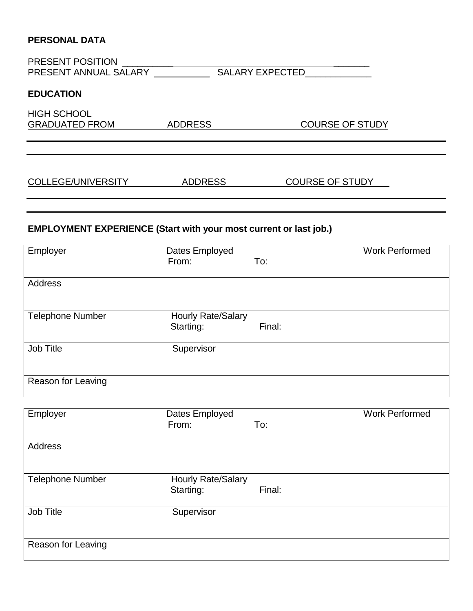## **PERSONAL DATA**

| <b>EDUCATION</b>                                                         |                                 |        |                        |  |
|--------------------------------------------------------------------------|---------------------------------|--------|------------------------|--|
| <b>HIGH SCHOOL</b><br>GRADUATED FROM ADDRESS                             |                                 |        | <b>COURSE OF STUDY</b> |  |
| <u>COLLEGE/UNIVERSITY ADDRESS</u>                                        |                                 |        | <b>COURSE OF STUDY</b> |  |
| <b>EMPLOYMENT EXPERIENCE (Start with your most current or last job.)</b> |                                 |        |                        |  |
| Employer                                                                 | Dates Employed<br>From:         | To:    | <b>Work Performed</b>  |  |
| <b>Address</b>                                                           |                                 |        |                        |  |
| <b>Telephone Number</b>                                                  | Hourly Rate/Salary<br>Starting: | Final: |                        |  |
| Job Title                                                                | Supervisor                      |        |                        |  |
| <b>Reason for Leaving</b>                                                |                                 |        |                        |  |

| Employer                | Dates Employed<br>From:   | To:    | <b>Work Performed</b> |
|-------------------------|---------------------------|--------|-----------------------|
|                         |                           |        |                       |
| Address                 |                           |        |                       |
|                         |                           |        |                       |
| <b>Telephone Number</b> | <b>Hourly Rate/Salary</b> |        |                       |
|                         | Starting:                 | Final: |                       |
| Job Title               | Supervisor                |        |                       |
|                         |                           |        |                       |
| Reason for Leaving      |                           |        |                       |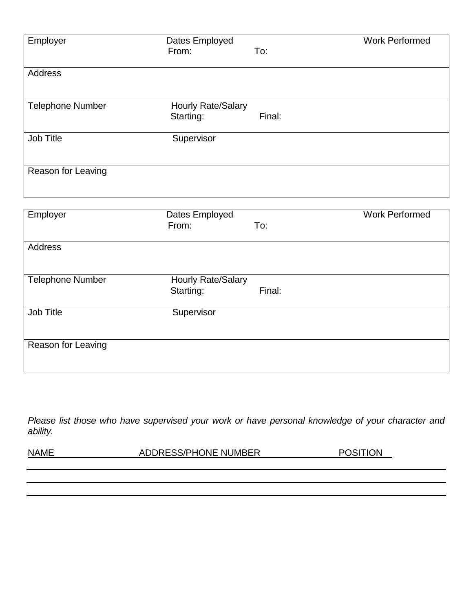| Employer                | Dates Employed<br>From:                | To:    | <b>Work Performed</b> |
|-------------------------|----------------------------------------|--------|-----------------------|
| Address                 |                                        |        |                       |
| <b>Telephone Number</b> | <b>Hourly Rate/Salary</b><br>Starting: | Final: |                       |
| Job Title               | Supervisor                             |        |                       |
| Reason for Leaving      |                                        |        |                       |

| Employer                | Dates Employed<br>From:<br>To:            | <b>Work Performed</b> |
|-------------------------|-------------------------------------------|-----------------------|
| <b>Address</b>          |                                           |                       |
| <b>Telephone Number</b> | Hourly Rate/Salary<br>Starting:<br>Final: |                       |
| Job Title               | Supervisor                                |                       |
| Reason for Leaving      |                                           |                       |

*Please list those who have supervised your work or have personal knowledge of your character and ability.*

NAME ADDRESS/PHONE NUMBER POSITION